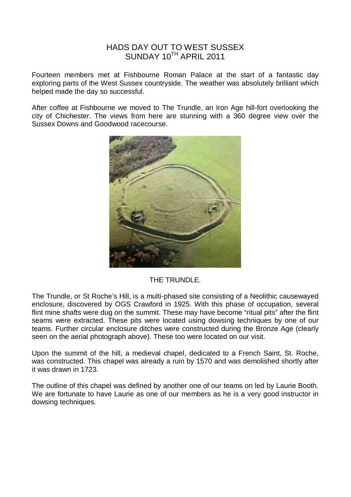## HADS DAY OUT TO WEST SUSSEX SUNDAY 10TH APRIL 2011

Fourteen members met at Fishbourne Roman Palace at the start of a fantastic day exploring parts of the West Sussex countryside. The weather was absolutely brilliant which helped made the day so successful.

After coffee at Fishbourne we moved to The Trundle, an Iron Age hill-fort overlooking the city of Chichester. The views from here are stunning with a 360 degree view over the Sussex Downs and Goodwood racecourse.



## THE TRUNDLE.

The Trundle, or St Roche's Hill, is a multi-phased site consisting of a Neolithic causewayed enclosure, discovered by OGS Crawford in 1925. With this phase of occupation, several flint mine shafts were dug on the summit. These may have become "ritual pits" after the flint seams were extracted. These pits were located using dowsing techniques by one of our teams. Further circular enclosure ditches were constructed during the Bronze Age (clearly seen on the aerial photograph above). These too were located on our visit.

Upon the summit of the hill, a medieval chapel, dedicated to a French Saint, St. Roche, was constructed. This chapel was already a ruin by 1570 and was demolished shortly after it was drawn in 1723.

The outline of this chapel was defined by another one of our teams on led by Laurie Booth. We are fortunate to have Laurie as one of our members as he is a very good instructor in dowsing techniques.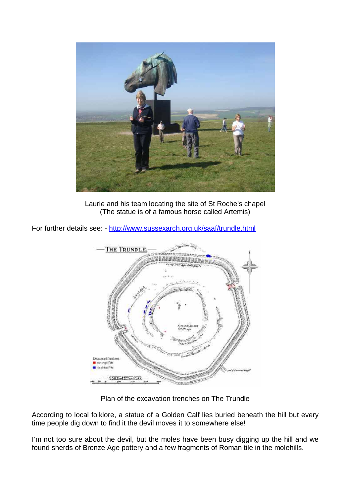

Laurie and his team locating the site of St Roche's chapel (The statue is of a famous horse called Artemis)

For further details see: - http://www.sussexarch.org.uk/saaf/trundle.html



Plan of the excavation trenches on The Trundle

According to local folklore, a statue of a Golden Calf lies buried beneath the hill but every time people dig down to find it the devil moves it to somewhere else!

I'm not too sure about the devil, but the moles have been busy digging up the hill and we found sherds of Bronze Age pottery and a few fragments of Roman tile in the molehills.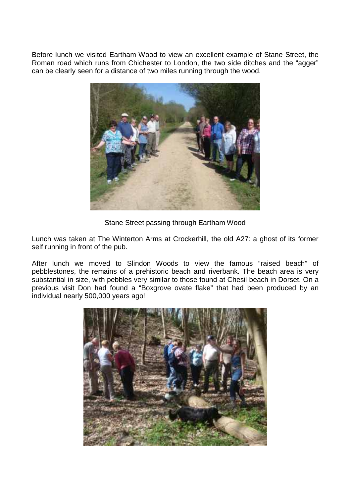Before lunch we visited Eartham Wood to view an excellent example of Stane Street, the Roman road which runs from Chichester to London, the two side ditches and the "agger" can be clearly seen for a distance of two miles running through the wood.



Stane Street passing through Eartham Wood

Lunch was taken at The Winterton Arms at Crockerhill, the old A27: a ghost of its former self running in front of the pub.

After lunch we moved to Slindon Woods to view the famous "raised beach" of pebblestones, the remains of a prehistoric beach and riverbank. The beach area is very substantial in size, with pebbles very similar to those found at Chesil beach in Dorset. On a previous visit Don had found a "Boxgrove ovate flake" that had been produced by an individual nearly 500,000 years ago!